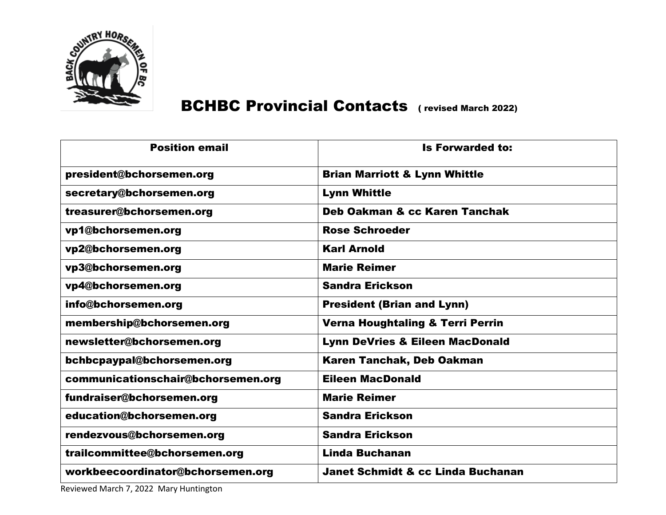

## BCHBC Provincial Contacts ( revised March 2022)

| <b>Is Forwarded to:</b>                      |
|----------------------------------------------|
| <b>Brian Marriott &amp; Lynn Whittle</b>     |
| <b>Lynn Whittle</b>                          |
| <b>Deb Oakman &amp; cc Karen Tanchak</b>     |
| <b>Rose Schroeder</b>                        |
| <b>Karl Arnold</b>                           |
| <b>Marie Reimer</b>                          |
| <b>Sandra Erickson</b>                       |
| <b>President (Brian and Lynn)</b>            |
| <b>Verna Houghtaling &amp; Terri Perrin</b>  |
| <b>Lynn DeVries &amp; Eileen MacDonald</b>   |
| <b>Karen Tanchak, Deb Oakman</b>             |
| <b>Eileen MacDonald</b>                      |
| <b>Marie Reimer</b>                          |
| <b>Sandra Erickson</b>                       |
| <b>Sandra Erickson</b>                       |
| <b>Linda Buchanan</b>                        |
| <b>Janet Schmidt &amp; cc Linda Buchanan</b> |
|                                              |

Reviewed March 7, 2022 Mary Huntington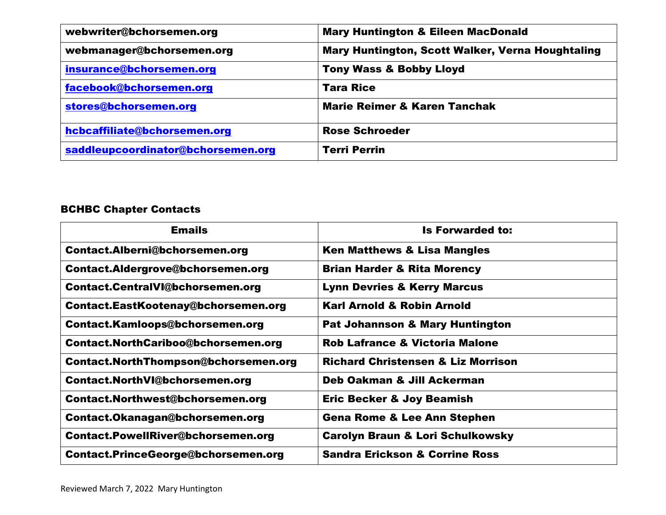| webwriter@bchorsemen.org           | <b>Mary Huntington &amp; Eileen MacDonald</b>    |
|------------------------------------|--------------------------------------------------|
| webmanager@bchorsemen.org          | Mary Huntington, Scott Walker, Verna Houghtaling |
| insurance@bchorsemen.org           | <b>Tony Wass &amp; Bobby Lloyd</b>               |
| facebook@bchorsemen.org            | <b>Tara Rice</b>                                 |
| stores@bchorsemen.org              | <b>Marie Reimer &amp; Karen Tanchak</b>          |
| hcbcaffiliate@bchorsemen.org       | <b>Rose Schroeder</b>                            |
| saddleupcoordinator@bchorsemen.org | <b>Terri Perrin</b>                              |

## BCHBC Chapter Contacts

| <b>Emails</b>                         | <b>Is Forwarded to:</b>                       |
|---------------------------------------|-----------------------------------------------|
| Contact.Alberni@bchorsemen.org        | <b>Ken Matthews &amp; Lisa Mangles</b>        |
| Contact.Aldergrove@bchorsemen.org     | <b>Brian Harder &amp; Rita Morency</b>        |
| Contact.CentralVl@bchorsemen.org      | <b>Lynn Devries &amp; Kerry Marcus</b>        |
| Contact.EastKootenay@bchorsemen.org   | <b>Karl Arnold &amp; Robin Arnold</b>         |
| Contact.Kamloops@bchorsemen.org       | <b>Pat Johannson &amp; Mary Huntington</b>    |
| Contact.NorthCariboo@bchorsemen.org   | <b>Rob Lafrance &amp; Victoria Malone</b>     |
| Contact.NorthThompson@bchorsemen.org  | <b>Richard Christensen &amp; Liz Morrison</b> |
| <b>Contact.NorthVI@bchorsemen.org</b> | Deb Oakman & Jill Ackerman                    |
| Contact.Northwest@bchorsemen.org      | <b>Eric Becker &amp; Joy Beamish</b>          |
| Contact.Okanagan@bchorsemen.org       | <b>Gena Rome &amp; Lee Ann Stephen</b>        |
| Contact.PowellRiver@bchorsemen.org    | <b>Carolyn Braun &amp; Lori Schulkowsky</b>   |
| Contact.PrinceGeorge@bchorsemen.org   | <b>Sandra Erickson &amp; Corrine Ross</b>     |